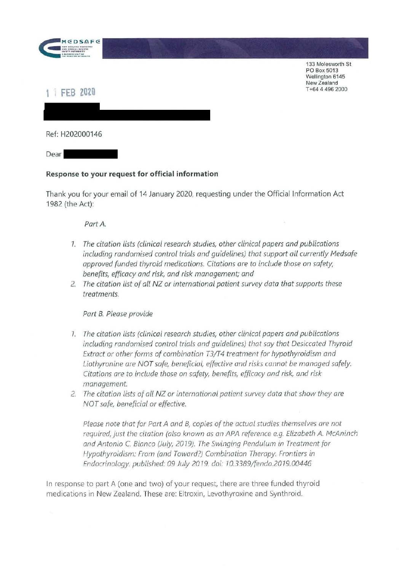

133 Molesworth St PO Box 5013 Wellington 6145 New Zealand T +64 4 496 2000

## **1 1 FEB 2020**

Ref: H202000146

Dear

## **Response to your request for official information**

Thank you for your email of 14 January 2020, requesting under the Official Information Act 1982 (the Act):

*Part A.* 

- 7. *The citation lists (clinical research studies, other clinical papers and publications including randomised control trials and guidelines) that support all currently Medsafe approved funded thyroid medications. Citations are to include those on safety, benefits, efficacy and risk, and risk management; and*
- *2. The citation list of all NZ or international patient survey data that supports these treatments.*

*Part B. Please provide* 

- 7. *The citation lists (clinical research studies, other clinical papers and publications including randomised control trials and guidelines) that say that Desiccated Thyroid Extract or other forms of combination T3/T4 treatment for hypothyroidism and Liothyronine ore NOT safe, beneficial, effective and risks cannot be managed safely. Citations are to include those on safety, benefits, efficacy and risk, and risk management.*
- *2. The citation lists of all* **NZ** *or international patient survey data that show they are NOT safe, beneficial or effective.*

*Please note that for Part A and B, copies of the actual studies themselves are not required,just the citation (also known as an APA reference e.g. Elizabeth A. McAninch and Antonio* C. *Bianco (July, 2019). The Swinging Pendulum in Treatment for Hypothyroidism: From (and Toward?) Combination Therapy. Frontiers in Endocrinology. published:* 09 *July 20* 7 9. *doi: 70.3389/fendo.2019. 00446* 

In response to part A (one and two) of your request, there are three funded thyroid medications in New Zealand. These are: Eltroxin, Levothyroxine and Synthroid.